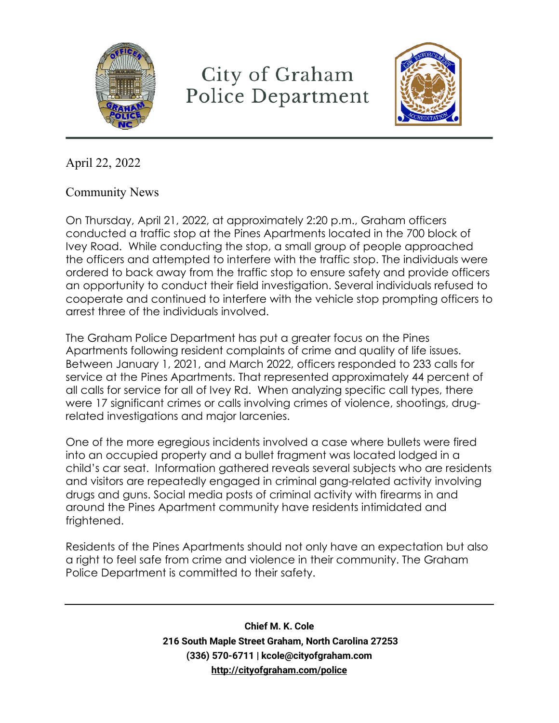

## City of Graham Police Department



April 22, 2022

Community News

On Thursday, April 21, 2022, at approximately 2:20 p.m., Graham officers conducted a traffic stop at the Pines Apartments located in the 700 block of Ivey Road. While conducting the stop, a small group of people approached the officers and attempted to interfere with the traffic stop. The individuals were ordered to back away from the traffic stop to ensure safety and provide officers an opportunity to conduct their field investigation. Several individuals refused to cooperate and continued to interfere with the vehicle stop prompting officers to arrest three of the individuals involved.

The Graham Police Department has put a greater focus on the Pines Apartments following resident complaints of crime and quality of life issues. Between January 1, 2021, and March 2022, officers responded to 233 calls for service at the Pines Apartments. That represented approximately 44 percent of all calls for service for all of Ivey Rd. When analyzing specific call types, there were 17 significant crimes or calls involving crimes of violence, shootings, drugrelated investigations and major larcenies.

One of the more egregious incidents involved a case where bullets were fired into an occupied property and a bullet fragment was located lodged in a child's car seat. Information gathered reveals several subjects who are residents and visitors are repeatedly engaged in criminal gang-related activity involving drugs and guns. Social media posts of criminal activity with firearms in and around the Pines Apartment community have residents intimidated and frightened.

Residents of the Pines Apartments should not only have an expectation but also a right to feel safe from crime and violence in their community. The Graham Police Department is committed to their safety.

> **Chief M. K. Cole 216 South Maple Street Graham, North Carolina 27253 (336) 570-6711 | kcole@cityofgraham.com <http://cityofgraham.com/police>**